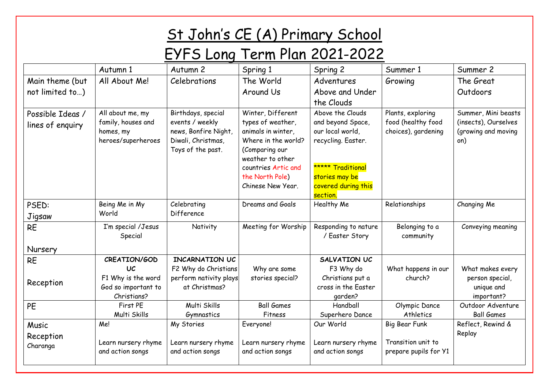## St John's CE (A) Primary School

## EYFS Long Term Plan 2021-2022

|                                      | Autumn 1                                                                  | Autumn 2                                                                                                 | Spring 1                                                                                                                                                                                 | Spring 2                                                                                                                                                  | Summer 1                                                       | Summer 2                                                                  |
|--------------------------------------|---------------------------------------------------------------------------|----------------------------------------------------------------------------------------------------------|------------------------------------------------------------------------------------------------------------------------------------------------------------------------------------------|-----------------------------------------------------------------------------------------------------------------------------------------------------------|----------------------------------------------------------------|---------------------------------------------------------------------------|
| Main theme (but                      | All About Me!                                                             | Celebrations                                                                                             | The World                                                                                                                                                                                | Adventures                                                                                                                                                | Growing                                                        | The Great                                                                 |
| not limited to)                      |                                                                           |                                                                                                          | Around Us                                                                                                                                                                                | Above and Under                                                                                                                                           |                                                                | Outdoors                                                                  |
|                                      |                                                                           |                                                                                                          |                                                                                                                                                                                          | the Clouds                                                                                                                                                |                                                                |                                                                           |
| Possible Ideas /<br>lines of enquiry | All about me, my<br>family, houses and<br>homes, my<br>heroes/superheroes | Birthdays, special<br>events / weekly<br>news, Bonfire Night,<br>Diwali, Christmas,<br>Toys of the past. | Winter, Different<br>types of weather,<br>animals in winter,<br>Where in the world?<br>(Comparing our<br>weather to other<br>countries Artic and<br>the North Pole)<br>Chinese New Year. | Above the Clouds<br>and beyond Space,<br>our local world,<br>recycling. Easter.<br>***** Traditional<br>stories may be<br>covered during this<br>section. | Plants, exploring<br>food (healthy food<br>choices), gardening | Summer, Mini beasts<br>(insects), Ourselves<br>(growing and moving<br>on) |
| PSED:<br>Jigsaw                      | Being Me in My<br>World                                                   | Celebrating<br>Difference                                                                                | Dreams and Goals                                                                                                                                                                         | Healthy Me                                                                                                                                                | Relationships                                                  | Changing Me                                                               |
| <b>RE</b>                            | I'm special /Jesus<br>Special                                             | Nativity                                                                                                 | Meeting for Worship                                                                                                                                                                      | Responding to nature<br>/ Easter Story                                                                                                                    | Belonging to a<br>community                                    | Conveying meaning                                                         |
| Nursery                              |                                                                           |                                                                                                          |                                                                                                                                                                                          |                                                                                                                                                           |                                                                |                                                                           |
| <b>RE</b>                            | CREATION/GOD                                                              | <b>INCARNATION UC</b>                                                                                    |                                                                                                                                                                                          | SALVATION UC                                                                                                                                              |                                                                |                                                                           |
| Reception                            | UC<br>F1 Why is the word<br>God so important to<br>Christians?            | F2 Why do Christians<br>perform nativity plays<br>at Christmas?                                          | Why are some<br>stories special?                                                                                                                                                         | F3 Why do<br>Christians put a<br>cross in the Easter<br>qarden?                                                                                           | What happens in our<br>church?                                 | What makes every<br>person special,<br>unique and<br>important?           |
| PE                                   | First PE<br>Multi Skills                                                  | Multi Skills<br>Gymnastics                                                                               | <b>Ball Games</b><br>Fitness                                                                                                                                                             | Handball<br>Superhero Dance                                                                                                                               | Olympic Dance<br>Athletics                                     | Outdoor Adventure<br><b>Ball Games</b>                                    |
| Music                                | Me!                                                                       | My Stories                                                                                               | Everyone!                                                                                                                                                                                | Our World                                                                                                                                                 | Big Bear Funk                                                  | Reflect, Rewind &                                                         |
| Reception<br>Charanga                | Learn nursery rhyme<br>and action songs                                   | Learn nursery rhyme<br>and action songs                                                                  | Learn nursery rhyme<br>and action songs                                                                                                                                                  | Learn nursery rhyme<br>and action songs                                                                                                                   | Transition unit to<br>prepare pupils for Y1                    | Replay                                                                    |